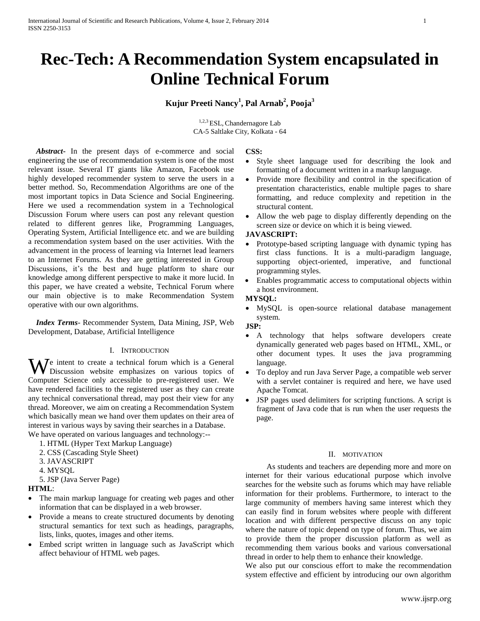# **Rec-Tech: A Recommendation System encapsulated in Online Technical Forum**

**Kujur Preeti Nancy<sup>1</sup> , Pal Arnab<sup>2</sup> , Pooja<sup>3</sup>**

1,2,3 ESL, Chandernagore Lab CA-5 Saltlake City, Kolkata - 64

 *Abstract***-** In the present days of e-commerce and social engineering the use of recommendation system is one of the most relevant issue. Several IT giants like Amazon, Facebook use highly developed recommender system to serve the users in a better method. So, Recommendation Algorithms are one of the most important topics in Data Science and Social Engineering. Here we used a recommendation system in a Technological Discussion Forum where users can post any relevant question related to different genres like, Programming Languages, Operating System, Artificial Intelligence etc. and we are building a recommendation system based on the user activities. With the advancement in the process of learning via Internet lead learners to an Internet Forums. As they are getting interested in Group Discussions, it's the best and huge platform to share our knowledge among different perspective to make it more lucid. In this paper, we have created a website, Technical Forum where our main objective is to make Recommendation System operative with our own algorithms.

 *Index Terms*- Recommender System, Data Mining, JSP, Web Development, Database, Artificial Intelligence

#### I. INTRODUCTION

We intent to create a technical forum which is a General Discussion website emphasizes on various topics of Discussion website emphasizes on various topics of Computer Science only accessible to pre-registered user. We have rendered facilities to the registered user as they can create any technical conversational thread, may post their view for any thread. Moreover, we aim on creating a Recommendation System which basically mean we hand over them updates on their area of interest in various ways by saving their searches in a Database. We have operated on various languages and technology:--

- 1. HTML (Hyper Text Markup Language)
- 2. CSS (Cascading Style Sheet)
- 3. JAVASCRIPT
- 4. MYSQL
- 5. JSP (Java Server Page)

**HTML**:

- The main markup language for creating web pages and other information that can be displayed in a web browser.
- Provide a means to create structured documents by denoting structural semantics for text such as headings, paragraphs, lists, links, quotes, images and other items.
- Embed script written in language such as JavaScript which affect behaviour of HTML web pages.

#### **CSS:**

- Style sheet language used for describing the look and formatting of a document written in a markup language.
- Provide more flexibility and control in the specification of presentation characteristics, enable multiple pages to share formatting, and reduce complexity and repetition in the structural content.
- Allow the web page to display differently depending on the screen size or device on which it is being viewed.

# **JAVASCRIPT:**

- Prototype-based scripting language with dynamic typing has first class functions. It is a multi-paradigm language, supporting object-oriented, imperative, and functional programming styles.
- Enables programmatic access to computational objects within a host environment.

# **MYSQL:**

• MySQL is open-source relational database management system.

#### **JSP:**

- A technology that helps software developers create dynamically generated web pages based on HTML, XML, or other document types. It uses the java programming language.
- To deploy and run Java Server Page, a compatible web server with a servlet container is required and here, we have used Apache Tomcat.
- JSP pages used delimiters for scripting functions. A script is fragment of Java code that is run when the user requests the page.

# II. MOTIVATION

As students and teachers are depending more and more on internet for their various educational purpose which involve searches for the website such as forums which may have reliable information for their problems. Furthermore, to interact to the large community of members having same interest which they can easily find in forum websites where people with different location and with different perspective discuss on any topic where the nature of topic depend on type of forum. Thus, we aim to provide them the proper discussion platform as well as recommending them various books and various conversational thread in order to help them to enhance their knowledge.

We also put our conscious effort to make the recommendation system effective and efficient by introducing our own algorithm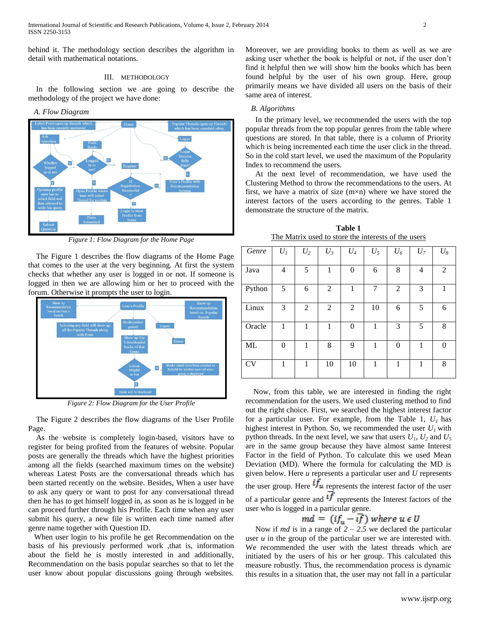behind it. The methodology section describes the algorithm in detail with mathematical notations.

#### III. METHODOLOGY

 In the following section we are going to describe the methodology of the project we have done:

*A. Flow Diagram*



*Figure 1: Flow Diagram for the Home Page*

 The Figure 1 describes the flow diagrams of the Home Page that comes to the user at the very beginning. At first the system checks that whether any user is logged in or not. If someone is logged in then we are allowing him or her to proceed with the forum. Otherwise it prompts the user to login.



*Figure 2: Flow Diagram for the User Profile*

 The Figure 2 describes the flow diagrams of the User Profile Page.

 As the website is completely login-based, visitors have to register for being profited from the features of website. Popular posts are generally the threads which have the highest priorities among all the fields (searched maximum times on the website) whereas Latest Posts are the conversational threads which has been started recently on the website. Besides, When a user have to ask any query or want to post for any conversational thread then he has to get himself logged in, as soon as he is logged in he can proceed further through his Profile. Each time when any user submit his query, a new file is written each time named after genre name together with Question ID.

 When user login to his profile he get Recommendation on the basis of his previously performed work ,that is, information about the field he is mostly interested in and additionally, Recommendation on the basis popular searches so that to let the user know about popular discussions going through websites.

Moreover, we are providing books to them as well as we are asking user whether the book is helpful or not, if the user don't find it helpful then we will show him the books which has been found helpful by the user of his own group. Here, group primarily means we have divided all users on the basis of their same area of interest.

#### *B. Algorithms*

 In the primary level, we recommended the users with the top popular threads from the top popular genres from the table where questions are stored. In that table, there is a column of Priority which is being incremented each time the user click in the thread. So in the cold start level, we used the maximum of the Popularity Index to recommend the users.

 At the next level of recommendation, we have used the Clustering Method to throw the recommendations to the users. At first, we have a matrix of size  $(m \times n)$  where we have stored the interest factors of the users according to the genres. Table 1 demonstrate the structure of the matrix.

**Table 1** The Matrix used to store the interests of the users

| Genre     | $U_I$    | $U_2$          | $U_3$          | $U_4$          | $U_5$          | $U_6$          | $U_7$ | $U_8$    |
|-----------|----------|----------------|----------------|----------------|----------------|----------------|-------|----------|
| Java      | 4        | 5              | 1              | $\theta$       | 6              | 8              | 4     | 2        |
| Python    | 5        | 6              | 2              | 1              | $\overline{7}$ | $\overline{2}$ | 3     | 1        |
| Linux     | 3        | $\overline{2}$ | $\overline{2}$ | $\overline{2}$ | 10             | 6              | 5     | 6        |
| Oracle    | 1        | 1              | 1              | $\theta$       | 1              | 3              | 5     | 8        |
| ML        | $\theta$ | 1              | 8              | 9              | 1              | $\theta$       | 1     | $\theta$ |
| <b>CV</b> | 1        | 1              | 10             | 10             | 1              | 1              | 1     | 8        |

 Now, from this table, we are interested in finding the right recommendation for the users. We used clustering method to find out the right choice. First, we searched the highest interest factor for a particular user. For example, from the Table 1, *U1* has highest interest in Python. So, we recommended the user  $U_I$  with python threads. In the next level, we saw that users  $U_1$ ,  $U_2$  and  $U_5$ are in the same group because they have almost same Interest Factor in the field of Python. To calculate this we used Mean Deviation (MD). Where the formula for calculating the MD is given below. Here *u* represents a particular user and *U* represents the user group. Here  $if_u$  represents the interest factor of the user of a particular genre and  $\overline{if}$  represents the Interest factors of the user who is logged in a particular genre.

Now if *md* is in a range of  $2 - 2.5$  we declared the particular user *u* in the group of the particular user we are interested with. We recommended the user with the latest threads which are initiated by the users of his or her group. This calculated this measure robustly. Thus, the recommendation process is dynamic this results in a situation that, the user may not fall in a particular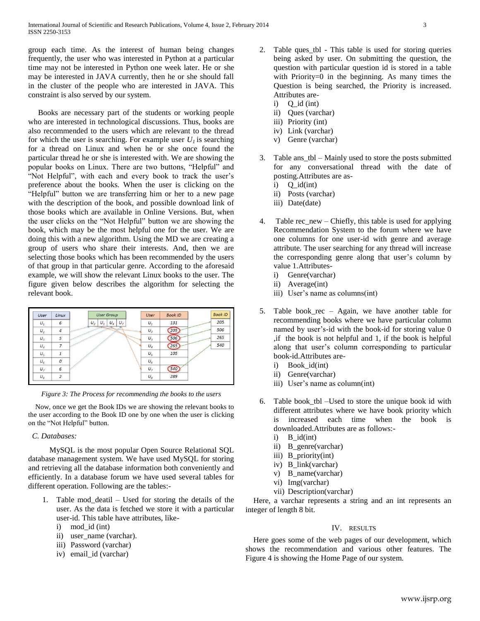group each time. As the interest of human being changes frequently, the user who was interested in Python at a particular time may not be interested in Python one week later. He or she may be interested in JAVA currently, then he or she should fall in the cluster of the people who are interested in JAVA. This constraint is also served by our system.

 Books are necessary part of the students or working people who are interested in technological discussions. Thus, books are also recommended to the users which are relevant to the thread for which the user is searching. For example user  $U_i$  is searching for a thread on Linux and when he or she once found the particular thread he or she is interested with. We are showing the popular books on Linux. There are two buttons, "Helpful" and "Not Helpful", with each and every book to track the user's preference about the books. When the user is clicking on the "Helpful" button we are transferring him or her to a new page with the description of the book, and possible download link of those books which are available in Online Versions. But, when the user clicks on the "Not Helpful" button we are showing the book, which may be the most helpful one for the user. We are doing this with a new algorithm. Using the MD we are creating a group of users who share their interests. And, then we are selecting those books which has been recommended by the users of that group in that particular genre. According to the aforesaid example, we will show the relevant Linux books to the user. The figure given below describes the algorithm for selecting the relevant book.



*Figure 3: The Process for recommending the books to the users*

 Now, once we get the Book IDs we are showing the relevant books to the user according to the Book ID one by one when the user is clicking on the "Not Helpful" button.

#### *C. Databases:*

MySQL is the most popular Open Source Relational SQL database management system. We have used MySQL for storing and retrieving all the database information both conveniently and efficiently. In a database forum we have used several tables for different operation. Following are the tables:-

- 1. Table mod\_deatil Used for storing the details of the user. As the data is fetched we store it with a particular user-id. This table have attributes, like
	- i) mod\_id (int)
	- ii) user name (varchar).
	- iii) Password (varchar)
	- iv) email\_id (varchar)
- 2. Table ques tbl This table is used for storing queries being asked by user. On submitting the question, the question with particular question id is stored in a table with Priority=0 in the beginning. As many times the Question is being searched, the Priority is increased. Attributes are
	- $i)$  Q  $id$  (int)
	- ii) Ques (varchar)
	- iii) Priority (int)
	- iv) Link (varchar)
	- v) Genre (varchar)
- 3. Table ans\_tbl Mainly used to store the posts submitted for any conversational thread with the date of posting.Attributes are as
	- $i)$   $Q_id(int)$
	- ii) Posts (varchar)
	- iii) Date(date)
- 4. Table rec\_new Chiefly, this table is used for applying Recommendation System to the forum where we have one columns for one user-id with genre and average attribute. The user searching for any thread will increase the corresponding genre along that user's column by value 1.Attributes
	- i) Genre(varchar)
	- ii) Average(int)
	- iii) User's name as columns(int)
- 5. Table book\_rec Again, we have another table for recommending books where we have particular column named by user's-id with the book-id for storing value 0 ,if the book is not helpful and 1, if the book is helpful along that user's column corresponding to particular book-id.Attributes are
	- i) Book\_id(int)
	- ii) Genre(varchar)
	- iii) User's name as column(int)
- 6. Table book\_tbl –Used to store the unique book id with different attributes where we have book priority which is increased each time when the book is downloaded.Attributes are as follows:
	- $i)$  B  $id(int)$
	- ii) B\_genre(varchar)
	- iii) B\_priority(int)
	- iv) B\_link(varchar)
	- v) B\_name(varchar)
	- vi) Img(varchar)
	- vii) Description(varchar)

 Here, a varchar represents a string and an int represents an integer of length 8 bit.

### IV. RESULTS

 Here goes some of the web pages of our development, which shows the recommendation and various other features. The Figure 4 is showing the Home Page of our system.